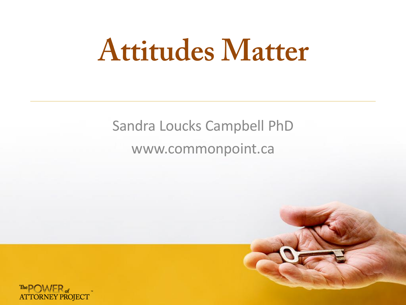## **Attitudes Matter**

#### Sandra Loucks Campbell PhD www.commonpoint.ca



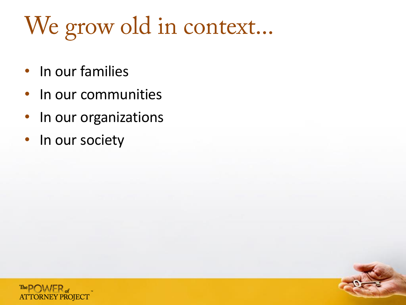## We grow old in context...

- In our families
- In our communities
- In our organizations
- In our society

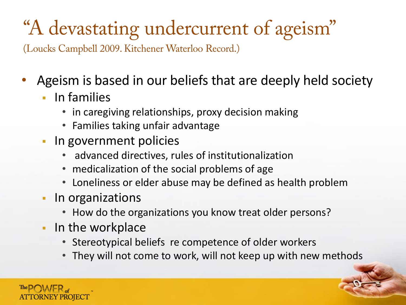#### "A devastating undercurrent of ageism"

(Loucks Campbell 2009. Kitchener Waterloo Record.)

- Ageism is based in our beliefs that are deeply held society
	- **In families** 
		- in caregiving relationships, proxy decision making
		- Families taking unfair advantage
	- **In government policies** 
		- advanced directives, rules of institutionalization
		- medicalization of the social problems of age
		- Loneliness or elder abuse may be defined as health problem
	- In organizations
		- How do the organizations you know treat older persons?
	- In the workplace
		- Stereotypical beliefs re competence of older workers
		- They will not come to work, will not keep up with new methods

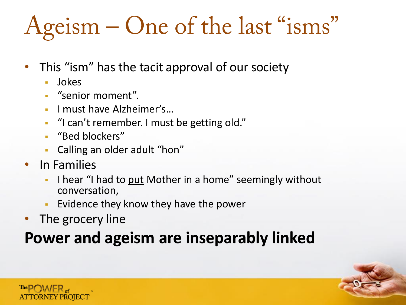## Ageism – One of the last "isms"

- This "ism" has the tacit approval of our society
	- Jokes
	- "senior moment".
	- **I must have Alzheimer's...**
	- "I can't remember. I must be getting old."
	- "Bed blockers"
	- Calling an older adult "hon"
- In Families
	- I hear "I had to put Mother in a home" seemingly without conversation,
	- Evidence they know they have the power
- The grocery line

#### **Power and ageism are inseparably linked**



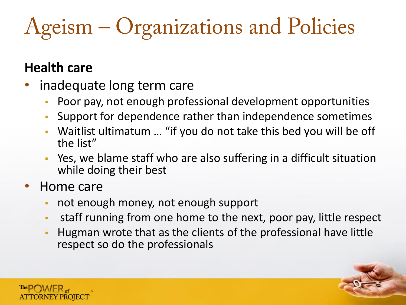### Ageism – Organizations and Policies

#### **Health care**

- inadequate long term care
	- Poor pay, not enough professional development opportunities
	- Support for dependence rather than independence sometimes
	- Waitlist ultimatum … "if you do not take this bed you will be off the list"
	- Yes, we blame staff who are also suffering in a difficult situation while doing their best
- Home care
	- not enough money, not enough support
	- staff running from one home to the next, poor pay, little respect
	- Hugman wrote that as the clients of the professional have little respect so do the professionals

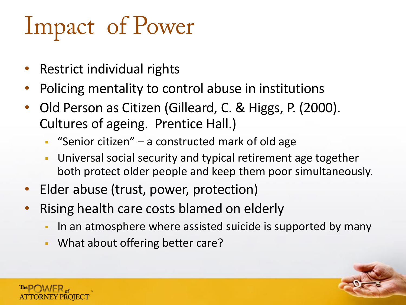## **Impact of Power**

- Restrict individual rights
- Policing mentality to control abuse in institutions
- Old Person as Citizen (Gilleard, C. & Higgs, P. (2000). Cultures of ageing. Prentice Hall.)
	- "Senior citizen" a constructed mark of old age
	- Universal social security and typical retirement age together both protect older people and keep them poor simultaneously.
- Elder abuse (trust, power, protection)
- Rising health care costs blamed on elderly
	- In an atmosphere where assisted suicide is supported by many
	- **What about offering better care?**

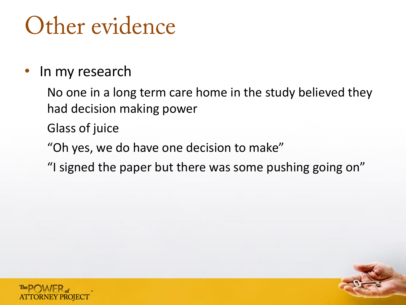### Other evidence

#### In my research

No one in a long term care home in the study believed they had decision making power

Glass of juice

"Oh yes, we do have one decision to make"

"I signed the paper but there was some pushing going on"

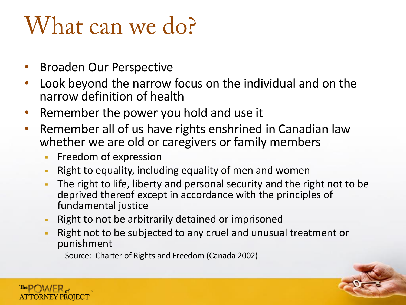### What can we do?

- Broaden Our Perspective
- Look beyond the narrow focus on the individual and on the narrow definition of health
- Remember the power you hold and use it
- Remember all of us have rights enshrined in Canadian law whether we are old or caregivers or family members
	- **Filter Freedom of expression**
	- Right to equality, including equality of men and women
	- The right to life, liberty and personal security and the right not to be deprived thereof except in accordance with the principles of fundamental justice
	- **Right to not be arbitrarily detained or imprisoned**
	- Right not to be subjected to any cruel and unusual treatment or punishment

Source: Charter of Rights and Freedom (Canada 2002)

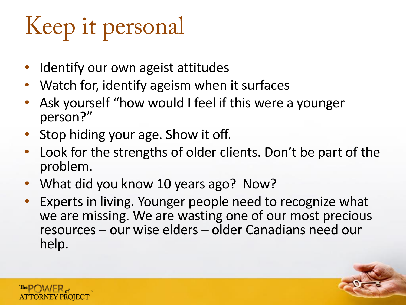## Keep it personal

- Identify our own ageist attitudes
- Watch for, identify ageism when it surfaces
- Ask yourself "how would I feel if this were a younger person?"
- Stop hiding your age. Show it off.
- Look for the strengths of older clients. Don't be part of the problem.
- What did you know 10 years ago? Now?
- Experts in living. Younger people need to recognize what we are missing. We are wasting one of our most precious resources – our wise elders – older Canadians need our help.

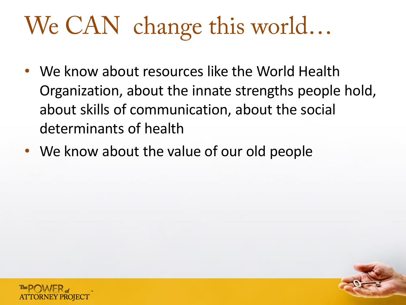### We CAN change this world...

- We know about resources like the World Health Organization, about the innate strengths people hold, about skills of communication, about the social determinants of health
- We know about the value of our old people